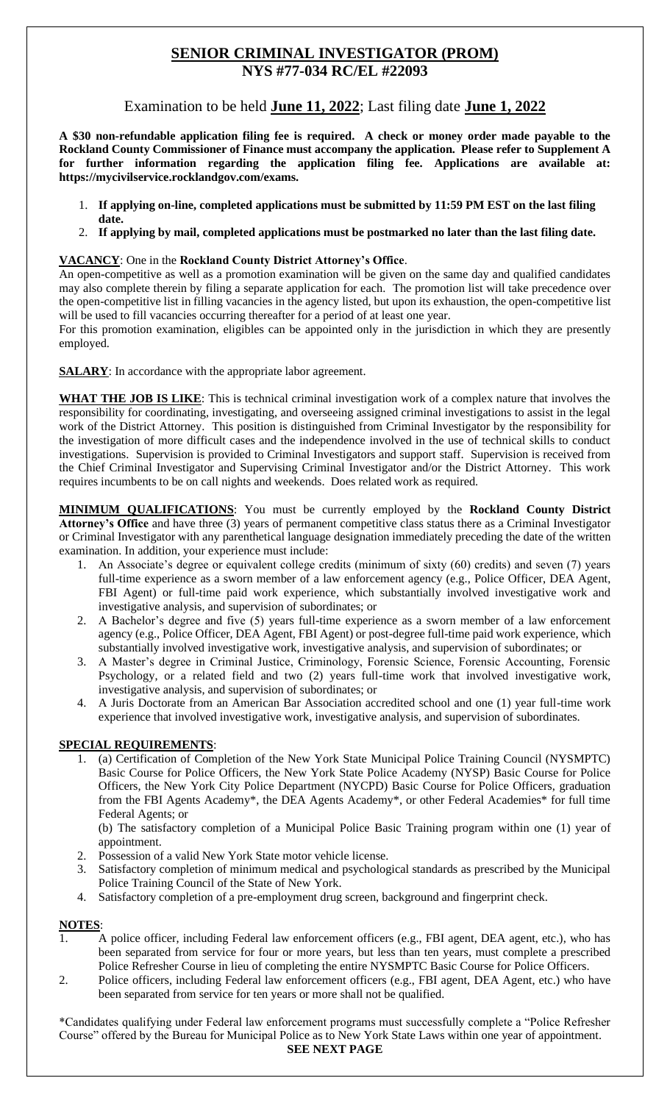# **SENIOR CRIMINAL INVESTIGATOR (PROM) NYS #77-034 RC/EL #22093**

Examination to be held **June 11, 2022**; Last filing date **June 1, 2022**

**A \$30 non-refundable application filing fee is required. A check or money order made payable to the Rockland County Commissioner of Finance must accompany the application. Please refer to Supplement A for further information regarding the application filing fee. Applications are available at: https://mycivilservice.rocklandgov.com/exams.**

- 1. **If applying on-line, completed applications must be submitted by 11:59 PM EST on the last filing date.**
- 2. **If applying by mail, completed applications must be postmarked no later than the last filing date.**

## **VACANCY**: One in the **Rockland County District Attorney's Office**.

An open-competitive as well as a promotion examination will be given on the same day and qualified candidates may also complete therein by filing a separate application for each. The promotion list will take precedence over the open-competitive list in filling vacancies in the agency listed, but upon its exhaustion, the open-competitive list will be used to fill vacancies occurring thereafter for a period of at least one year.

For this promotion examination, eligibles can be appointed only in the jurisdiction in which they are presently employed.

**SALARY**: In accordance with the appropriate labor agreement.

**WHAT THE JOB IS LIKE**: This is technical criminal investigation work of a complex nature that involves the responsibility for coordinating, investigating, and overseeing assigned criminal investigations to assist in the legal work of the District Attorney. This position is distinguished from Criminal Investigator by the responsibility for the investigation of more difficult cases and the independence involved in the use of technical skills to conduct investigations. Supervision is provided to Criminal Investigators and support staff. Supervision is received from the Chief Criminal Investigator and Supervising Criminal Investigator and/or the District Attorney. This work requires incumbents to be on call nights and weekends. Does related work as required.

**MINIMUM QUALIFICATIONS**: You must be currently employed by the **Rockland County District Attorney's Office** and have three (3) years of permanent competitive class status there as a Criminal Investigator or Criminal Investigator with any parenthetical language designation immediately preceding the date of the written examination. In addition, your experience must include:

- 1. An Associate's degree or equivalent college credits (minimum of sixty (60) credits) and seven (7) years full-time experience as a sworn member of a law enforcement agency (e.g., Police Officer, DEA Agent, FBI Agent) or full-time paid work experience, which substantially involved investigative work and investigative analysis, and supervision of subordinates; or
- 2. A Bachelor's degree and five (5) years full-time experience as a sworn member of a law enforcement agency (e.g., Police Officer, DEA Agent, FBI Agent) or post-degree full-time paid work experience, which substantially involved investigative work, investigative analysis, and supervision of subordinates; or
- 3. A Master's degree in Criminal Justice, Criminology, Forensic Science, Forensic Accounting, Forensic Psychology, or a related field and two (2) years full-time work that involved investigative work, investigative analysis, and supervision of subordinates; or
- 4. A Juris Doctorate from an American Bar Association accredited school and one (1) year full-time work experience that involved investigative work, investigative analysis, and supervision of subordinates.

## **SPECIAL REQUIREMENTS**:

 1. (a) Certification of Completion of the New York State Municipal Police Training Council (NYSMPTC) Basic Course for Police Officers, the New York State Police Academy (NYSP) Basic Course for Police Officers, the New York City Police Department (NYCPD) Basic Course for Police Officers, graduation from the FBI Agents Academy\*, the DEA Agents Academy\*, or other Federal Academies\* for full time Federal Agents; or

(b) The satisfactory completion of a Municipal Police Basic Training program within one (1) year of appointment.

- 2. Possession of a valid New York State motor vehicle license.
- 3. Satisfactory completion of minimum medical and psychological standards as prescribed by the Municipal Police Training Council of the State of New York.
- 4. Satisfactory completion of a pre-employment drug screen, background and fingerprint check.

## **NOTES**:

- A police officer, including Federal law enforcement officers (e.g., FBI agent, DEA agent, etc.), who has been separated from service for four or more years, but less than ten years, must complete a prescribed Police Refresher Course in lieu of completing the entire NYSMPTC Basic Course for Police Officers.
- 2. Police officers, including Federal law enforcement officers (e.g., FBI agent, DEA Agent, etc.) who have been separated from service for ten years or more shall not be qualified.

\*Candidates qualifying under Federal law enforcement programs must successfully complete a "Police Refresher Course" offered by the Bureau for Municipal Police as to New York State Laws within one year of appointment. **SEE NEXT PAGE**